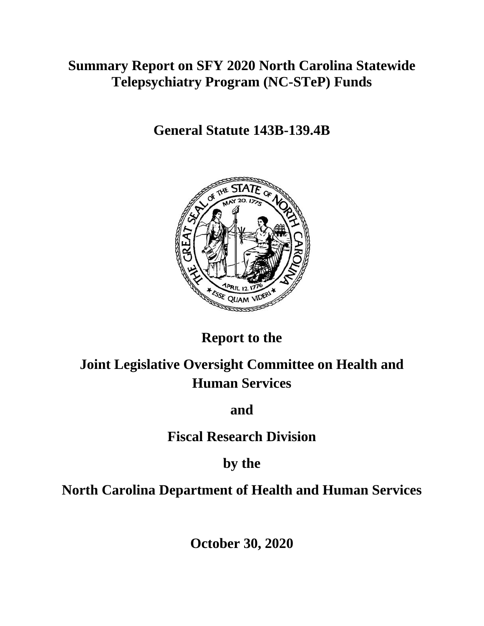# **Summary Report on SFY 2020 North Carolina Statewide Telepsychiatry Program (NC-STeP) Funds**

**General Statute 143B-139.4B** 



# **Report to the**

# **Joint Legislative Oversight Committee on Health and Human Services**

## **and**

## **Fiscal Research Division**

## **by the**

# **North Carolina Department of Health and Human Services**

**October 30, 2020**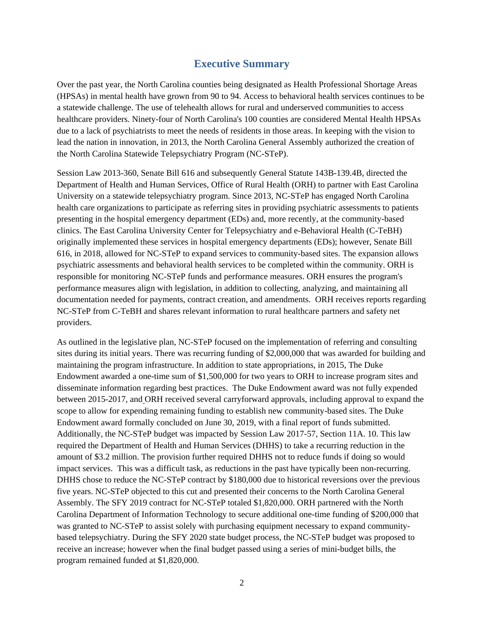#### **Executive Summary**

Over the past year, the North Carolina counties being designated as Health Professional Shortage Areas (HPSAs) in mental health have grown from 90 to 94. Access to behavioral health services continues to be a statewide challenge. The use of telehealth allows for rural and underserved communities to access healthcare providers. Ninety-four of North Carolina's 100 counties are considered Mental Health HPSAs due to a lack of psychiatrists to meet the needs of residents in those areas. In keeping with the vision to lead the nation in innovation, in 2013, the North Carolina General Assembly authorized the creation of the North Carolina Statewide Telepsychiatry Program (NC-STeP).

Session Law 2013-360, Senate Bill 616 and subsequently General Statute 143B-139.4B, directed the Department of Health and Human Services, Office of Rural Health (ORH) to partner with East Carolina University on a statewide telepsychiatry program. Since 2013, NC-STeP has engaged North Carolina health care organizations to participate as referring sites in providing psychiatric assessments to patients presenting in the hospital emergency department (EDs) and, more recently, at the community-based clinics. The East Carolina University Center for Telepsychiatry and e-Behavioral Health (C-TeBH) originally implemented these services in hospital emergency departments (EDs); however, Senate Bill 616, in 2018, allowed for NC-STeP to expand services to community-based sites. The expansion allows psychiatric assessments and behavioral health services to be completed within the community. ORH is responsible for monitoring NC-STeP funds and performance measures. ORH ensures the program's performance measures align with legislation, in addition to collecting, analyzing, and maintaining all documentation needed for payments, contract creation, and amendments. ORH receives reports regarding NC-STeP from C-TeBH and shares relevant information to rural healthcare partners and safety net providers.

As outlined in the legislative plan, NC-STeP focused on the implementation of referring and consulting sites during its initial years. There was recurring funding of \$2,000,000 that was awarded for building and maintaining the program infrastructure. In addition to state appropriations, in 2015, The Duke Endowment awarded a one-time sum of \$1,500,000 for two years to ORH to increase program sites and disseminate information regarding best practices. The Duke Endowment award was not fully expended between 2015-2017, and ORH received several carryforward approvals, including approval to expand the scope to allow for expending remaining funding to establish new community-based sites. The Duke Endowment award formally concluded on June 30, 2019, with a final report of funds submitted. Additionally, the NC-STeP budget was impacted by Session Law 2017-57, Section 11A. 10. This law required the Department of Health and Human Services (DHHS) to take a recurring reduction in the amount of \$3.2 million. The provision further required DHHS not to reduce funds if doing so would impact services. This was a difficult task, as reductions in the past have typically been non-recurring. DHHS chose to reduce the NC-STeP contract by \$180,000 due to historical reversions over the previous five years. NC-STeP objected to this cut and presented their concerns to the North Carolina General Assembly. The SFY 2019 contract for NC-STeP totaled \$1,820,000. ORH partnered with the North Carolina Department of Information Technology to secure additional one-time funding of \$200,000 that was granted to NC-STeP to assist solely with purchasing equipment necessary to expand communitybased telepsychiatry. During the SFY 2020 state budget process, the NC-STeP budget was proposed to receive an increase; however when the final budget passed using a series of mini-budget bills, the program remained funded at \$1,820,000.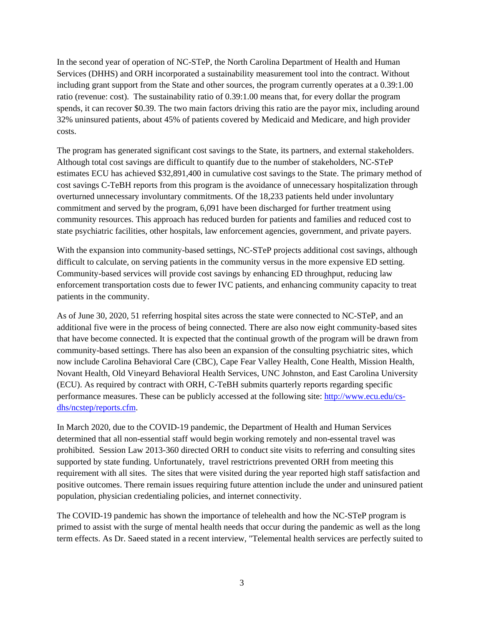In the second year of operation of NC-STeP, the North Carolina Department of Health and Human Services (DHHS) and ORH incorporated a sustainability measurement tool into the contract. Without including grant support from the State and other sources, the program currently operates at a 0.39:1.00 ratio (revenue: cost). The sustainability ratio of 0.39:1.00 means that, for every dollar the program spends, it can recover \$0.39. The two main factors driving this ratio are the payor mix, including around 32% uninsured patients, about 45% of patients covered by Medicaid and Medicare, and high provider costs.

The program has generated significant cost savings to the State, its partners, and external stakeholders. Although total cost savings are difficult to quantify due to the number of stakeholders, NC-STeP estimates ECU has achieved \$32,891,400 in cumulative cost savings to the State. The primary method of cost savings C-TeBH reports from this program is the avoidance of unnecessary hospitalization through overturned unnecessary involuntary commitments. Of the 18,233 patients held under involuntary commitment and served by the program, 6,091 have been discharged for further treatment using community resources. This approach has reduced burden for patients and families and reduced cost to state psychiatric facilities, other hospitals, law enforcement agencies, government, and private payers.

With the expansion into community-based settings, NC-STeP projects additional cost savings, although difficult to calculate, on serving patients in the community versus in the more expensive ED setting. Community-based services will provide cost savings by enhancing ED throughput, reducing law enforcement transportation costs due to fewer IVC patients, and enhancing community capacity to treat patients in the community.

As of June 30, 2020, 51 referring hospital sites across the state were connected to NC-STeP, and an additional five were in the process of being connected. There are also now eight community-based sites that have become connected. It is expected that the continual growth of the program will be drawn from community-based settings. There has also been an expansion of the consulting psychiatric sites, which now include Carolina Behavioral Care (CBC), Cape Fear Valley Health, Cone Health, Mission Health, Novant Health, Old Vineyard Behavioral Health Services, UNC Johnston, and East Carolina University (ECU). As required by contract with ORH, C-TeBH submits quarterly reports regarding specific performance measures. These can be publicly accessed at the following site: http://www.ecu.edu/csdhs/ncstep/reports.cfm.

In March 2020, due to the COVID-19 pandemic, the Department of Health and Human Services determined that all non-essential staff would begin working remotely and non-essental travel was prohibited. Session Law 2013-360 directed ORH to conduct site visits to referring and consulting sites supported by state funding. Unfortunately, travel restrictrions prevented ORH from meeting this requirement with all sites. The sites that were visited during the year reported high staff satisfaction and positive outcomes. There remain issues requiring future attention include the under and uninsured patient population, physician credentialing policies, and internet connectivity.

The COVID-19 pandemic has shown the importance of telehealth and how the NC-STeP program is primed to assist with the surge of mental health needs that occur during the pandemic as well as the long term effects. As Dr. Saeed stated in a recent interview, "Telemental health services are perfectly suited to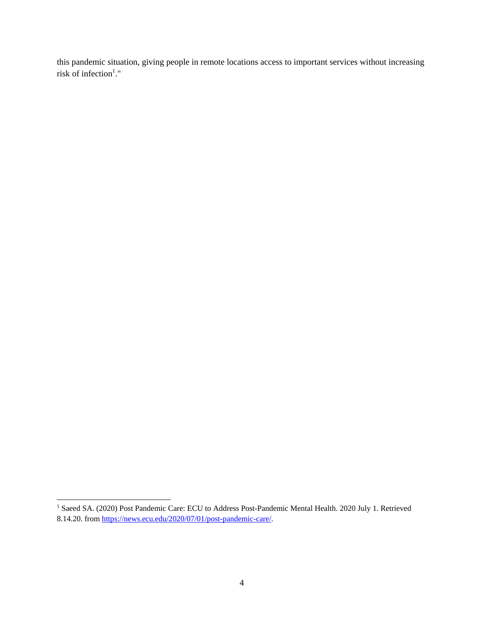this pandemic situation, giving people in remote locations access to important services without increasing risk of infection<sup>1</sup>."

 1 Saeed SA. (2020) Post Pandemic Care: ECU to Address Post-Pandemic Mental Health. 2020 July 1. Retrieved 8.14.20. from https://news.ecu.edu/2020/07/01/post-pandemic-care/.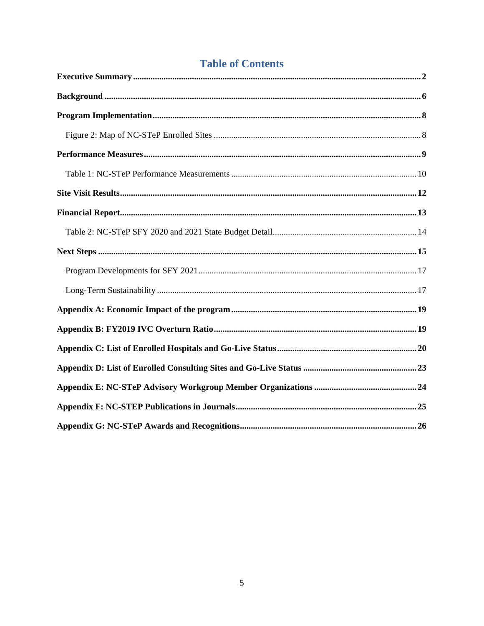## **Table of Contents**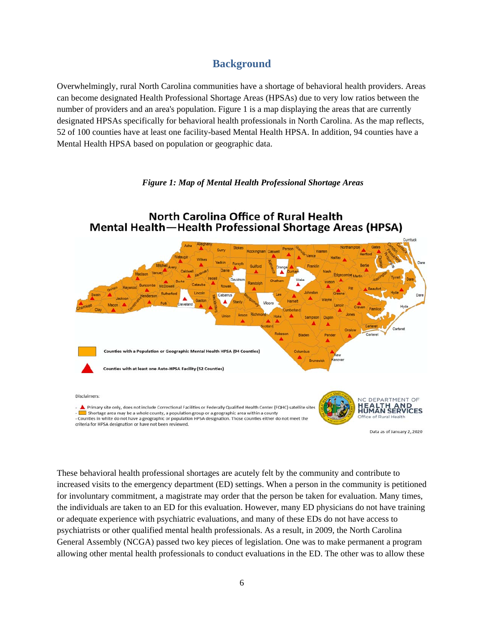#### **Background**

Overwhelmingly, rural North Carolina communities have a shortage of behavioral health providers. Areas can become designated Health Professional Shortage Areas (HPSAs) due to very low ratios between the number of providers and an area's population. Figure 1 is a map displaying the areas that are currently designated HPSAs specifically for behavioral health professionals in North Carolina. As the map reflects, 52 of 100 counties have at least one facility-based Mental Health HPSA. In addition, 94 counties have a Mental Health HPSA based on population or geographic data.

#### *Figure 1: Map of Mental Health Professional Shortage Areas*



These behavioral health professional shortages are acutely felt by the community and contribute to increased visits to the emergency department (ED) settings. When a person in the community is petitioned for involuntary commitment, a magistrate may order that the person be taken for evaluation. Many times, the individuals are taken to an ED for this evaluation. However, many ED physicians do not have training or adequate experience with psychiatric evaluations, and many of these EDs do not have access to psychiatrists or other qualified mental health professionals. As a result, in 2009, the North Carolina General Assembly (NCGA) passed two key pieces of legislation. One was to make permanent a program allowing other mental health professionals to conduct evaluations in the ED. The other was to allow these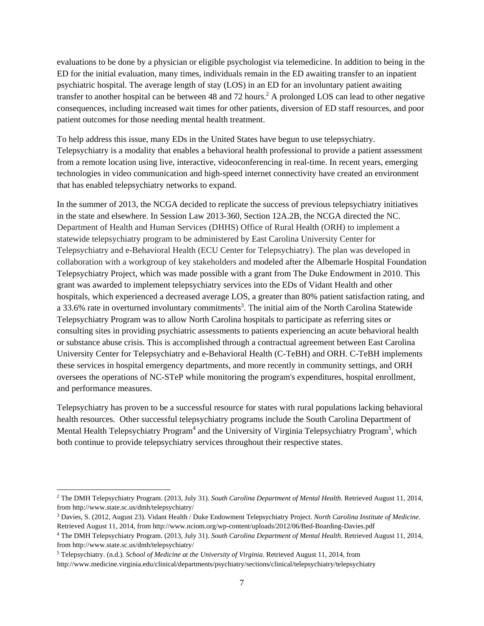evaluations to be done by a physician or eligible psychologist via telemedicine. In addition to being in the ED for the initial evaluation, many times, individuals remain in the ED awaiting transfer to an inpatient psychiatric hospital. The average length of stay (LOS) in an ED for an involuntary patient awaiting transfer to another hospital can be between 48 and 72 hours.<sup>2</sup> A prolonged LOS can lead to other negative consequences, including increased wait times for other patients, diversion of ED staff resources, and poor patient outcomes for those needing mental health treatment.

To help address this issue, many EDs in the United States have begun to use telepsychiatry. Telepsychiatry is a modality that enables a behavioral health professional to provide a patient assessment from a remote location using live, interactive, videoconferencing in real-time. In recent years, emerging technologies in video communication and high-speed internet connectivity have created an environment that has enabled telepsychiatry networks to expand.

In the summer of 2013, the NCGA decided to replicate the success of previous telepsychiatry initiatives in the state and elsewhere. In Session Law 2013-360, Section 12A.2B, the NCGA directed the NC. Department of Health and Human Services (DHHS) Office of Rural Health (ORH) to implement a statewide telepsychiatry program to be administered by East Carolina University Center for Telepsychiatry and e-Behavioral Health (ECU Center for Telepsychiatry). The plan was developed in collaboration with a workgroup of key stakeholders and modeled after the Albemarle Hospital Foundation Telepsychiatry Project, which was made possible with a grant from The Duke Endowment in 2010. This grant was awarded to implement telepsychiatry services into the EDs of Vidant Health and other hospitals, which experienced a decreased average LOS, a greater than 80% patient satisfaction rating, and a 33.6% rate in overturned involuntary commitments<sup>3</sup>. The initial aim of the North Carolina Statewide Telepsychiatry Program was to allow North Carolina hospitals to participate as referring sites or consulting sites in providing psychiatric assessments to patients experiencing an acute behavioral health or substance abuse crisis. This is accomplished through a contractual agreement between East Carolina University Center for Telepsychiatry and e-Behavioral Health (C-TeBH) and ORH. C-TeBH implements these services in hospital emergency departments, and more recently in community settings, and ORH oversees the operations of NC-STeP while monitoring the program's expenditures, hospital enrollment, and performance measures.

Telepsychiatry has proven to be a successful resource for states with rural populations lacking behavioral health resources. Other successful telepsychiatry programs include the South Carolina Department of Mental Health Telepsychiatry Program<sup>4</sup> and the University of Virginia Telepsychiatry Program<sup>5</sup>, which both continue to provide telepsychiatry services throughout their respective states.

l

<sup>2</sup> The DMH Telepsychiatry Program. (2013, July 31). *South Carolina Department of Mental Health*. Retrieved August 11, 2014, from http://www.state.sc.us/dmh/telepsychiatry/ 3 Davies, S. (2012, August 23). Vidant Health / Duke Endowment Telepsychiatry Project. *North Carolina Institute of Medicine*.

Retrieved August 11, 2014, from http://www.nciom.org/wp-content/uploads/2012/06/Bed-Boarding-Davies.pdf<br><sup>4</sup> The DMH Telepsychiatry Program. (2013, July 31). South Carolina Department of Mental Health. Retrieved August 11,

from http://www.state.sc.us/dmh/telepsychiatry/ 5

Telepsychiatry. (n.d.). *School of Medicine at the University of Virginia*. Retrieved August 11, 2014, from

http://www.medicine.virginia.edu/clinical/departments/psychiatry/sections/clinical/telepsychiatry/telepsychiatry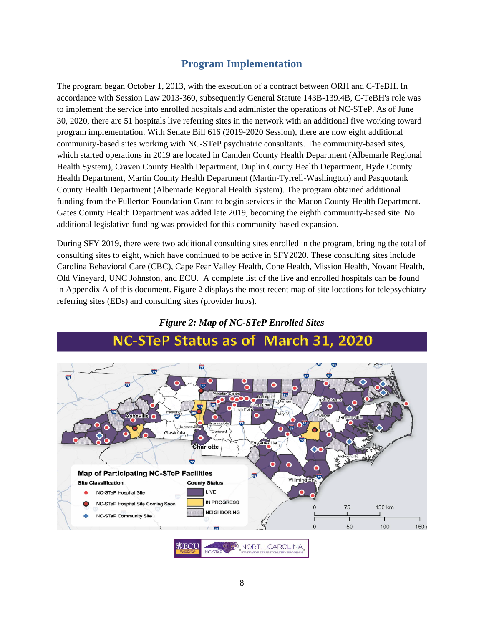### **Program Implementation**

The program began October 1, 2013, with the execution of a contract between ORH and C-TeBH. In accordance with Session Law 2013-360, subsequently General Statute 143B-139.4B, C-TeBH's role was to implement the service into enrolled hospitals and administer the operations of NC-STeP. As of June 30, 2020, there are 51 hospitals live referring sites in the network with an additional five working toward program implementation. With Senate Bill 616 (2019-2020 Session), there are now eight additional community-based sites working with NC-STeP psychiatric consultants. The community-based sites, which started operations in 2019 are located in Camden County Health Department (Albemarle Regional Health System), Craven County Health Department, Duplin County Health Department, Hyde County Health Department, Martin County Health Department (Martin-Tyrrell-Washington) and Pasquotank County Health Department (Albemarle Regional Health System). The program obtained additional funding from the Fullerton Foundation Grant to begin services in the Macon County Health Department. Gates County Health Department was added late 2019, becoming the eighth community-based site. No additional legislative funding was provided for this community-based expansion.

During SFY 2019, there were two additional consulting sites enrolled in the program, bringing the total of consulting sites to eight, which have continued to be active in SFY2020. These consulting sites include Carolina Behavioral Care (CBC), Cape Fear Valley Health, Cone Health, Mission Health, Novant Health, Old Vineyard, UNC Johnston, and ECU. A complete list of the live and enrolled hospitals can be found in Appendix A of this document. Figure 2 displays the most recent map of site locations for telepsychiatry referring sites (EDs) and consulting sites (provider hubs).



#### *Figure 2: Map of NC-STeP Enrolled Sites*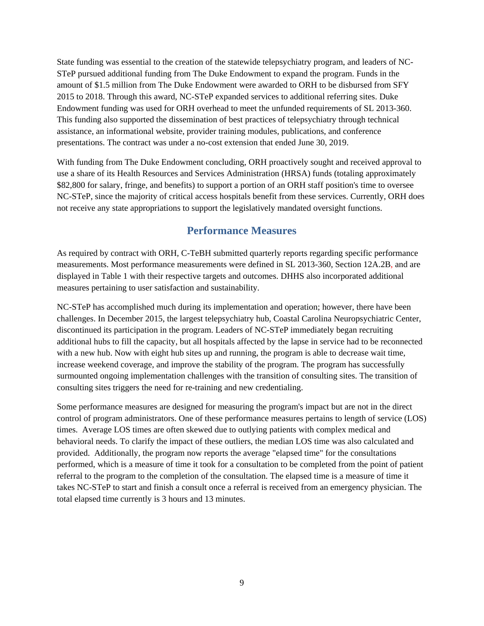State funding was essential to the creation of the statewide telepsychiatry program, and leaders of NC-STeP pursued additional funding from The Duke Endowment to expand the program. Funds in the amount of \$1.5 million from The Duke Endowment were awarded to ORH to be disbursed from SFY 2015 to 2018. Through this award, NC-STeP expanded services to additional referring sites. Duke Endowment funding was used for ORH overhead to meet the unfunded requirements of SL 2013-360. This funding also supported the dissemination of best practices of telepsychiatry through technical assistance, an informational website, provider training modules, publications, and conference presentations. The contract was under a no-cost extension that ended June 30, 2019.

With funding from The Duke Endowment concluding, ORH proactively sought and received approval to use a share of its Health Resources and Services Administration (HRSA) funds (totaling approximately \$82,800 for salary, fringe, and benefits) to support a portion of an ORH staff position's time to oversee NC-STeP, since the majority of critical access hospitals benefit from these services. Currently, ORH does not receive any state appropriations to support the legislatively mandated oversight functions.

#### **Performance Measures**

As required by contract with ORH, C-TeBH submitted quarterly reports regarding specific performance measurements. Most performance measurements were defined in SL 2013-360, Section 12A.2B, and are displayed in Table 1 with their respective targets and outcomes. DHHS also incorporated additional measures pertaining to user satisfaction and sustainability.

NC-STeP has accomplished much during its implementation and operation; however, there have been challenges. In December 2015, the largest telepsychiatry hub, Coastal Carolina Neuropsychiatric Center, discontinued its participation in the program. Leaders of NC-STeP immediately began recruiting additional hubs to fill the capacity, but all hospitals affected by the lapse in service had to be reconnected with a new hub. Now with eight hub sites up and running, the program is able to decrease wait time, increase weekend coverage, and improve the stability of the program. The program has successfully surmounted ongoing implementation challenges with the transition of consulting sites. The transition of consulting sites triggers the need for re-training and new credentialing.

Some performance measures are designed for measuring the program's impact but are not in the direct control of program administrators. One of these performance measures pertains to length of service (LOS) times. Average LOS times are often skewed due to outlying patients with complex medical and behavioral needs. To clarify the impact of these outliers, the median LOS time was also calculated and provided. Additionally, the program now reports the average "elapsed time" for the consultations performed, which is a measure of time it took for a consultation to be completed from the point of patient referral to the program to the completion of the consultation. The elapsed time is a measure of time it takes NC-STeP to start and finish a consult once a referral is received from an emergency physician. The total elapsed time currently is 3 hours and 13 minutes.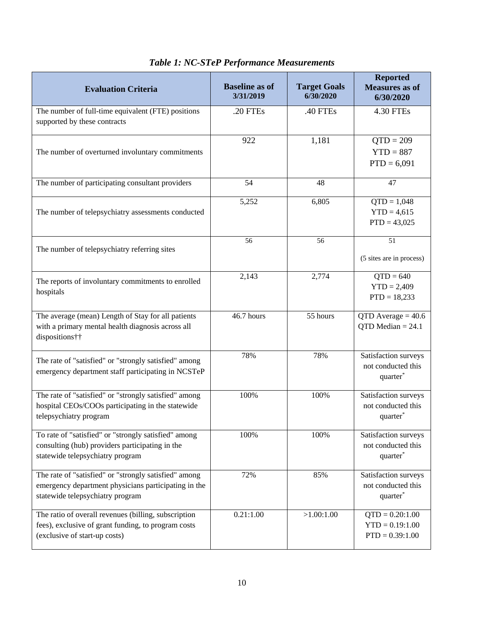| <b>Evaluation Criteria</b>                                                                                                                        | <b>Baseline as of</b><br>3/31/2019 | <b>Target Goals</b><br>6/30/2020 | <b>Reported</b><br><b>Measures as of</b><br>6/30/2020              |
|---------------------------------------------------------------------------------------------------------------------------------------------------|------------------------------------|----------------------------------|--------------------------------------------------------------------|
| The number of full-time equivalent (FTE) positions<br>supported by these contracts                                                                | .20 FTEs                           | .40 FTEs                         | 4.30 FTEs                                                          |
| The number of overturned involuntary commitments                                                                                                  | 922                                | 1,181                            | $QTD = 209$<br>$YTD = 887$<br>$PTD = 6,091$                        |
| The number of participating consultant providers                                                                                                  | 54                                 | 48                               | 47                                                                 |
| The number of telepsychiatry assessments conducted                                                                                                | 5,252                              | 6,805                            | $\overline{QTD} = 1,048$<br>$YTD = 4,615$<br>$PTD = 43,025$        |
| The number of telepsychiatry referring sites                                                                                                      | 56                                 | 56                               | 51<br>(5 sites are in process)                                     |
| The reports of involuntary commitments to enrolled<br>hospitals                                                                                   | 2,143                              | 2,774                            | $QTD = 640$<br>$YTD = 2,409$<br>$PTD = 18,233$                     |
| The average (mean) Length of Stay for all patients<br>with a primary mental health diagnosis across all<br>dispositions††                         | 46.7 hours                         | 55 hours                         | QTD Average $= 40.6$<br>QTD Median $= 24.1$                        |
| The rate of "satisfied" or "strongly satisfied" among<br>emergency department staff participating in NCSTeP                                       | 78%                                | 78%                              | Satisfaction surveys<br>not conducted this<br>quarter <sup>*</sup> |
| The rate of "satisfied" or "strongly satisfied" among<br>hospital CEOs/COOs participating in the statewide<br>telepsychiatry program              | 100%                               | 100%                             | Satisfaction surveys<br>not conducted this<br>quarter*             |
| To rate of "satisfied" or "strongly satisfied" among<br>consulting (hub) providers participating in the<br>statewide telepsychiatry program       | 100%                               | 100%                             | Satisfaction surveys<br>not conducted this<br>quarter*             |
| The rate of "satisfied" or "strongly satisfied" among<br>emergency department physicians participating in the<br>statewide telepsychiatry program | 72%                                | 85%                              | Satisfaction surveys<br>not conducted this<br>quarter*             |
| The ratio of overall revenues (billing, subscription<br>fees), exclusive of grant funding, to program costs<br>(exclusive of start-up costs)      | 0.21:1.00                          | >1.00:1.00                       | $QTD = 0.20:1.00$<br>$YTD = 0.19:1.00$<br>$PTD = 0.39:1.00$        |

### *Table 1: NC-STeP Performance Measurements*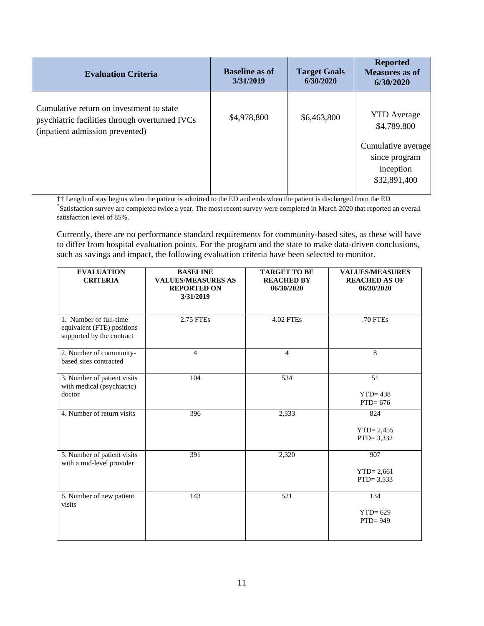| <b>Evaluation Criteria</b>                                                                                                    | <b>Baseline as of</b><br>3/31/2019 | <b>Target Goals</b><br>6/30/2020 | <b>Reported</b><br><b>Measures as of</b><br>6/30/2020                    |
|-------------------------------------------------------------------------------------------------------------------------------|------------------------------------|----------------------------------|--------------------------------------------------------------------------|
| Cumulative return on investment to state<br>psychiatric facilities through overturned IVCs<br>(inpatient admission prevented) | \$4,978,800                        | \$6,463,800                      | <b>YTD</b> Average<br>\$4,789,800<br>Cumulative average<br>since program |
|                                                                                                                               |                                    |                                  | inception<br>\$32,891,400                                                |

†† Length of stay begins when the patient is admitted to the ED and ends when the patient is discharged from the ED \* Satisfaction survey are completed twice a year. The most recent survey were completed in March 2020 that reported an overall satisfaction level of 85%.

Currently, there are no performance standard requirements for community-based sites, as these will have to differ from hospital evaluation points. For the program and the state to make data-driven conclusions, such as savings and impact, the following evaluation criteria have been selected to monitor.

| <b>EVALUATION</b><br><b>CRITERIA</b>                                              | <b>BASELINE</b><br><b>VALUES/MEASURES AS</b><br><b>REPORTED ON</b><br>3/31/2019 | <b>TARGET TO BE</b><br><b>REACHED BY</b><br>06/30/2020 | <b>VALUES/MEASURES</b><br><b>REACHED AS OF</b><br>06/30/2020 |
|-----------------------------------------------------------------------------------|---------------------------------------------------------------------------------|--------------------------------------------------------|--------------------------------------------------------------|
| 1. Number of full-time<br>equivalent (FTE) positions<br>supported by the contract | 2.75 FTEs                                                                       | <b>4.02 FTEs</b>                                       | .70 FTEs                                                     |
| 2. Number of community-<br>based sites contracted                                 | 4                                                                               | $\overline{4}$                                         | 8                                                            |
| 3. Number of patient visits<br>with medical (psychiatric)<br>doctor               | 104                                                                             | 534                                                    | 51<br>$YTD = 438$<br>$PTD=676$                               |
| 4. Number of return visits                                                        | 396                                                                             | 2,333                                                  | 824<br>$YTD = 2,455$<br>$PTD = 3,332$                        |
| 5. Number of patient visits<br>with a mid-level provider                          | 391                                                                             | 2,320                                                  | 907<br>$YTD = 2,661$<br>$PTD = 3,533$                        |
| 6. Number of new patient<br>visits                                                | 143                                                                             | 521                                                    | 134<br>$YTD = 629$<br>$PTD=949$                              |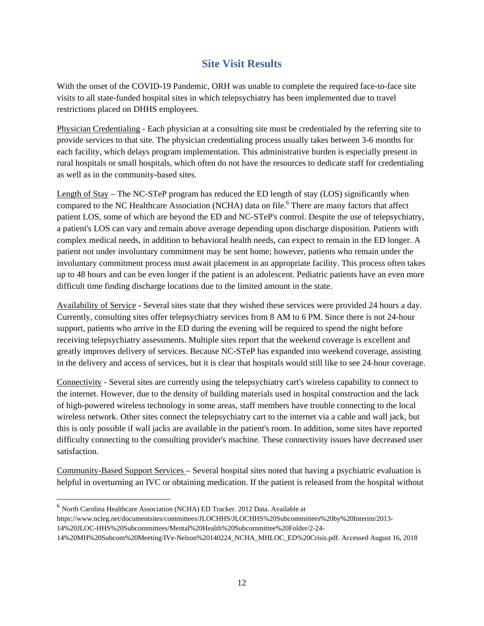### **Site Visit Results**

With the onset of the COVID-19 Pandemic, ORH was unable to complete the required face-to-face site visits to all state-funded hospital sites in which telepsychiatry has been implemented due to travel restrictions placed on DHHS employees.

Physician Credentialing - Each physician at a consulting site must be credentialed by the referring site to provide services to that site. The physician credentialing process usually takes between 3-6 months for each facility, which delays program implementation. This administrative burden is especially present in rural hospitals or small hospitals, which often do not have the resources to dedicate staff for credentialing as well as in the community-based sites.

Length of Stay – The NC-STeP program has reduced the ED length of stay (LOS) significantly when compared to the NC Healthcare Association (NCHA) data on file.<sup>6</sup> There are many factors that affect patient LOS, some of which are beyond the ED and NC-STeP's control. Despite the use of telepsychiatry, a patient's LOS can vary and remain above average depending upon discharge disposition. Patients with complex medical needs, in addition to behavioral health needs, can expect to remain in the ED longer. A patient not under involuntary commitment may be sent home; however, patients who remain under the involuntary commitment process must await placement in an appropriate facility. This process often takes up to 48 hours and can be even longer if the patient is an adolescent. Pediatric patients have an even more difficult time finding discharge locations due to the limited amount in the state.

Availability of Service - Several sites state that they wished these services were provided 24 hours a day. Currently, consulting sites offer telepsychiatry services from 8 AM to 6 PM. Since there is not 24-hour support, patients who arrive in the ED during the evening will be required to spend the night before receiving telepsychiatry assessments. Multiple sites report that the weekend coverage is excellent and greatly improves delivery of services. Because NC-STeP has expanded into weekend coverage, assisting in the delivery and access of services, but it is clear that hospitals would still like to see 24-hour coverage.

Connectivity - Several sites are currently using the telepsychiatry cart's wireless capability to connect to the internet. However, due to the density of building materials used in hospital construction and the lack of high-powered wireless technology in some areas, staff members have trouble connecting to the local wireless network. Other sites connect the telepsychiatry cart to the internet via a cable and wall jack, but this is only possible if wall jacks are available in the patient's room. In addition, some sites have reported difficulty connecting to the consulting provider's machine. These connectivity issues have decreased user satisfaction.

Community-Based Support Services – Several hospital sites noted that having a psychiatric evaluation is helpful in overturning an IVC or obtaining medication. If the patient is released from the hospital without

l

<sup>6</sup> North Carolina Healthcare Association (NCHA) ED Tracker. 2012 Data. Available at

https://www.ncleg.net/documentsites/committees/JLOCHHS/JLOCHHS%20Subcommittees%20by%20Interim/2013- 14%20JLOC-HHS%20Subcommittees/Mental%20Health%20Subcommittee%20Folder/2-24-

<sup>14%20</sup>MH%20Subcom%20Meeting/IVe-Nelson%20140224\_NCHA\_MHLOC\_ED%20Crisis.pdf. Accessed August 16, 2018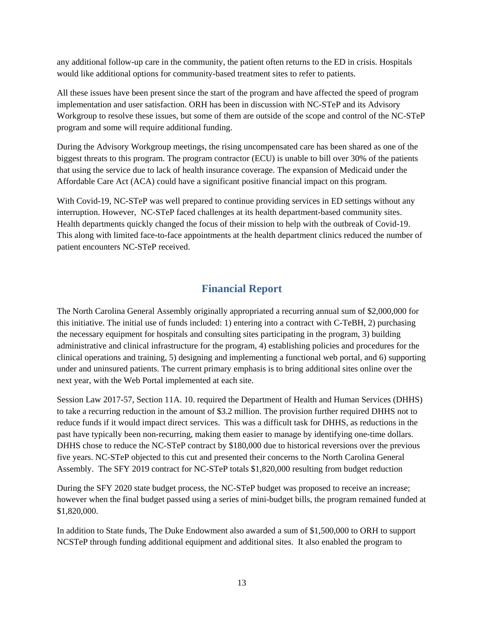any additional follow-up care in the community, the patient often returns to the ED in crisis. Hospitals would like additional options for community-based treatment sites to refer to patients.

All these issues have been present since the start of the program and have affected the speed of program implementation and user satisfaction. ORH has been in discussion with NC-STeP and its Advisory Workgroup to resolve these issues, but some of them are outside of the scope and control of the NC-STeP program and some will require additional funding.

During the Advisory Workgroup meetings, the rising uncompensated care has been shared as one of the biggest threats to this program. The program contractor (ECU) is unable to bill over 30% of the patients that using the service due to lack of health insurance coverage. The expansion of Medicaid under the Affordable Care Act (ACA) could have a significant positive financial impact on this program.

With Covid-19, NC-STeP was well prepared to continue providing services in ED settings without any interruption. However, NC-STeP faced challenges at its health department-based community sites. Health departments quickly changed the focus of their mission to help with the outbreak of Covid-19. This along with limited face-to-face appointments at the health department clinics reduced the number of patient encounters NC-STeP received.

### **Financial Report**

The North Carolina General Assembly originally appropriated a recurring annual sum of \$2,000,000 for this initiative. The initial use of funds included: 1) entering into a contract with C-TeBH, 2) purchasing the necessary equipment for hospitals and consulting sites participating in the program, 3) building administrative and clinical infrastructure for the program, 4) establishing policies and procedures for the clinical operations and training, 5) designing and implementing a functional web portal, and 6) supporting under and uninsured patients. The current primary emphasis is to bring additional sites online over the next year, with the Web Portal implemented at each site.

Session Law 2017-57, Section 11A. 10. required the Department of Health and Human Services (DHHS) to take a recurring reduction in the amount of \$3.2 million. The provision further required DHHS not to reduce funds if it would impact direct services. This was a difficult task for DHHS, as reductions in the past have typically been non-recurring, making them easier to manage by identifying one-time dollars. DHHS chose to reduce the NC-STeP contract by \$180,000 due to historical reversions over the previous five years. NC-STeP objected to this cut and presented their concerns to the North Carolina General Assembly. The SFY 2019 contract for NC-STeP totals \$1,820,000 resulting from budget reduction

During the SFY 2020 state budget process, the NC-STeP budget was proposed to receive an increase; however when the final budget passed using a series of mini-budget bills, the program remained funded at \$1,820,000.

In addition to State funds, The Duke Endowment also awarded a sum of \$1,500,000 to ORH to support NCSTeP through funding additional equipment and additional sites. It also enabled the program to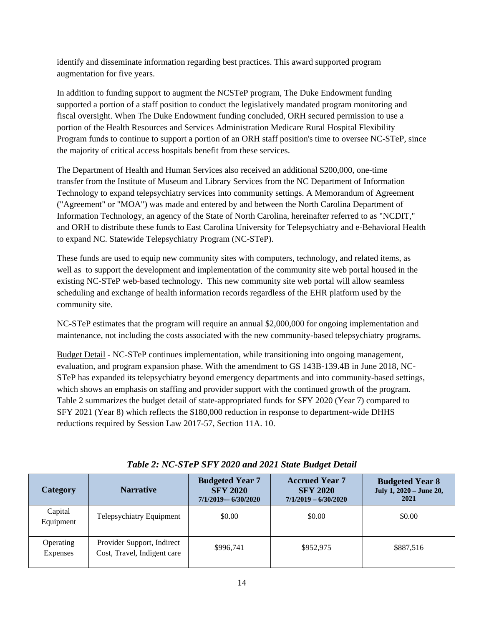identify and disseminate information regarding best practices. This award supported program augmentation for five years.

In addition to funding support to augment the NCSTeP program, The Duke Endowment funding supported a portion of a staff position to conduct the legislatively mandated program monitoring and fiscal oversight. When The Duke Endowment funding concluded, ORH secured permission to use a portion of the Health Resources and Services Administration Medicare Rural Hospital Flexibility Program funds to continue to support a portion of an ORH staff position's time to oversee NC-STeP, since the majority of critical access hospitals benefit from these services.

The Department of Health and Human Services also received an additional \$200,000, one-time transfer from the Institute of Museum and Library Services from the NC Department of Information Technology to expand telepsychiatry services into community settings. A Memorandum of Agreement ("Agreement" or "MOA") was made and entered by and between the North Carolina Department of Information Technology, an agency of the State of North Carolina, hereinafter referred to as "NCDIT," and ORH to distribute these funds to East Carolina University for Telepsychiatry and e-Behavioral Health to expand NC. Statewide Telepsychiatry Program (NC-STeP).

These funds are used to equip new community sites with computers, technology, and related items, as well as to support the development and implementation of the community site web portal housed in the existing NC-STeP web-based technology. This new community site web portal will allow seamless scheduling and exchange of health information records regardless of the EHR platform used by the community site.

NC-STeP estimates that the program will require an annual \$2,000,000 for ongoing implementation and maintenance, not including the costs associated with the new community-based telepsychiatry programs.

Budget Detail - NC-STeP continues implementation, while transitioning into ongoing management, evaluation, and program expansion phase. With the amendment to GS 143B-139.4B in June 2018, NC-STeP has expanded its telepsychiatry beyond emergency departments and into community-based settings, which shows an emphasis on staffing and provider support with the continued growth of the program. Table 2 summarizes the budget detail of state-appropriated funds for SFY 2020 (Year 7) compared to SFY 2021 (Year 8) which reflects the \$180,000 reduction in response to department-wide DHHS reductions required by Session Law 2017-57, Section 11A. 10.

| Category                     | <b>Narrative</b>                                          | <b>Budgeted Year 7</b><br><b>SFY 2020</b><br>$7/1/2019 - 6/30/2020$ | <b>Accrued Year 7</b><br><b>SFY 2020</b><br>$7/1/2019 - 6/30/2020$ | <b>Budgeted Year 8</b><br>July 1, 2020 - June 20,<br>2021 |
|------------------------------|-----------------------------------------------------------|---------------------------------------------------------------------|--------------------------------------------------------------------|-----------------------------------------------------------|
| Capital<br>Equipment         | Telepsychiatry Equipment                                  | \$0.00                                                              | \$0.00                                                             | \$0.00                                                    |
| Operating<br><b>Expenses</b> | Provider Support, Indirect<br>Cost, Travel, Indigent care | \$996.741                                                           | \$952,975                                                          | \$887,516                                                 |

#### *Table 2: NC-STeP SFY 2020 and 2021 State Budget Detail*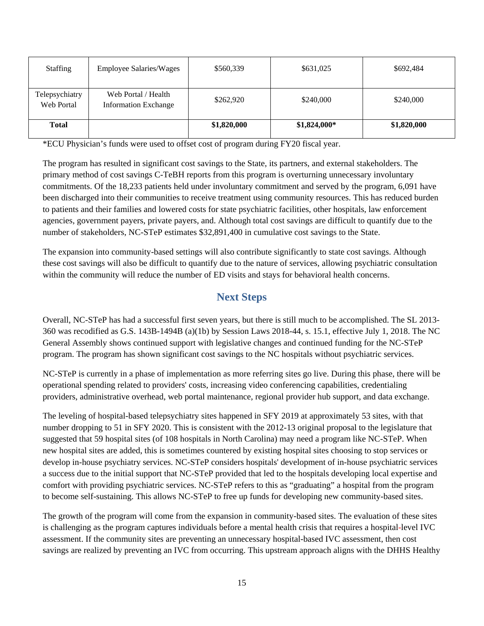| <b>Staffing</b>              | <b>Employee Salaries/Wages</b>                     | \$560,339   | \$631,025    | \$692,484   |
|------------------------------|----------------------------------------------------|-------------|--------------|-------------|
| Telepsychiatry<br>Web Portal | Web Portal / Health<br><b>Information Exchange</b> | \$262,920   | \$240,000    | \$240,000   |
| <b>Total</b>                 |                                                    | \$1,820,000 | \$1,824,000* | \$1,820,000 |

\*ECU Physician's funds were used to offset cost of program during FY20 fiscal year.

The program has resulted in significant cost savings to the State, its partners, and external stakeholders. The primary method of cost savings C-TeBH reports from this program is overturning unnecessary involuntary commitments. Of the 18,233 patients held under involuntary commitment and served by the program, 6,091 have been discharged into their communities to receive treatment using community resources. This has reduced burden to patients and their families and lowered costs for state psychiatric facilities, other hospitals, law enforcement agencies, government payers, private payers, and. Although total cost savings are difficult to quantify due to the number of stakeholders, NC-STeP estimates \$32,891,400 in cumulative cost savings to the State.

The expansion into community-based settings will also contribute significantly to state cost savings. Although these cost savings will also be difficult to quantify due to the nature of services, allowing psychiatric consultation within the community will reduce the number of ED visits and stays for behavioral health concerns.

### **Next Steps**

Overall, NC-STeP has had a successful first seven years, but there is still much to be accomplished. The SL 2013- 360 was recodified as G.S. 143B-1494B (a)(1b) by Session Laws 2018-44, s. 15.1, effective July 1, 2018. The NC General Assembly shows continued support with legislative changes and continued funding for the NC-STeP program. The program has shown significant cost savings to the NC hospitals without psychiatric services.

NC-STeP is currently in a phase of implementation as more referring sites go live. During this phase, there will be operational spending related to providers' costs, increasing video conferencing capabilities, credentialing providers, administrative overhead, web portal maintenance, regional provider hub support, and data exchange.

The leveling of hospital-based telepsychiatry sites happened in SFY 2019 at approximately 53 sites, with that number dropping to 51 in SFY 2020. This is consistent with the 2012-13 original proposal to the legislature that suggested that 59 hospital sites (of 108 hospitals in North Carolina) may need a program like NC-STeP. When new hospital sites are added, this is sometimes countered by existing hospital sites choosing to stop services or develop in-house psychiatry services. NC-STeP considers hospitals' development of in-house psychiatric services a success due to the initial support that NC-STeP provided that led to the hospitals developing local expertise and comfort with providing psychiatric services. NC-STeP refers to this as "graduating" a hospital from the program to become self-sustaining. This allows NC-STeP to free up funds for developing new community-based sites.

The growth of the program will come from the expansion in community-based sites. The evaluation of these sites is challenging as the program captures individuals before a mental health crisis that requires a hospital-level IVC assessment. If the community sites are preventing an unnecessary hospital-based IVC assessment, then cost savings are realized by preventing an IVC from occurring. This upstream approach aligns with the DHHS Healthy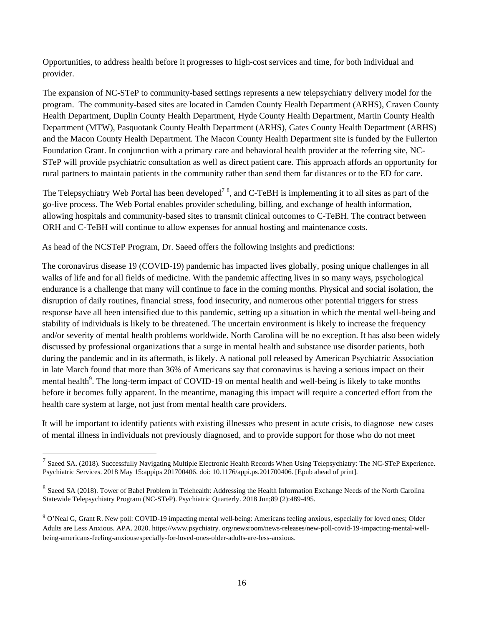Opportunities, to address health before it progresses to high-cost services and time, for both individual and provider.

The expansion of NC-STeP to community-based settings represents a new telepsychiatry delivery model for the program. The community-based sites are located in Camden County Health Department (ARHS), Craven County Health Department, Duplin County Health Department, Hyde County Health Department, Martin County Health Department (MTW), Pasquotank County Health Department (ARHS), Gates County Health Department (ARHS) and the Macon County Health Department. The Macon County Health Department site is funded by the Fullerton Foundation Grant. In conjunction with a primary care and behavioral health provider at the referring site, NC-STeP will provide psychiatric consultation as well as direct patient care. This approach affords an opportunity for rural partners to maintain patients in the community rather than send them far distances or to the ED for care.

The Telepsychiatry Web Portal has been developed<sup>7</sup><sup>8</sup>, and C-TeBH is implementing it to all sites as part of the go-live process. The Web Portal enables provider scheduling, billing, and exchange of health information, allowing hospitals and community-based sites to transmit clinical outcomes to C-TeBH. The contract between ORH and C-TeBH will continue to allow expenses for annual hosting and maintenance costs.

As head of the NCSTeP Program, Dr. Saeed offers the following insights and predictions:

1

The coronavirus disease 19 (COVID-19) pandemic has impacted lives globally, posing unique challenges in all walks of life and for all fields of medicine. With the pandemic affecting lives in so many ways, psychological endurance is a challenge that many will continue to face in the coming months. Physical and social isolation, the disruption of daily routines, financial stress, food insecurity, and numerous other potential triggers for stress response have all been intensified due to this pandemic, setting up a situation in which the mental well-being and stability of individuals is likely to be threatened. The uncertain environment is likely to increase the frequency and/or severity of mental health problems worldwide. North Carolina will be no exception. It has also been widely discussed by professional organizations that a surge in mental health and substance use disorder patients, both during the pandemic and in its aftermath, is likely. A national poll released by American Psychiatric Association in late March found that more than 36% of Americans say that coronavirus is having a serious impact on their mental health<sup>9</sup>. The long-term impact of COVID-19 on mental health and well-being is likely to take months before it becomes fully apparent. In the meantime, managing this impact will require a concerted effort from the health care system at large, not just from mental health care providers.

It will be important to identify patients with existing illnesses who present in acute crisis, to diagnose new cases of mental illness in individuals not previously diagnosed, and to provide support for those who do not meet

 $^7$  Saeed SA. (2018). Successfully Navigating Multiple Electronic Health Records When Using Telepsychiatry: The NC-STeP Experience. Psychiatric Services. 2018 May 15:appips 201700406. doi: 10.1176/appi.ps.201700406. [Epub ahead of print].

<sup>&</sup>lt;sup>8</sup> Saeed SA (2018). Tower of Babel Problem in Telehealth: Addressing the Health Information Exchange Needs of the North Carolina Statewide Telepsychiatry Program (NC-STeP). Psychiatric Quarterly. 2018 Jun;89 (2):489-495.

<sup>9</sup> O'Neal G, Grant R. New poll: COVID-19 impacting mental well-being: Americans feeling anxious, especially for loved ones; Older Adults are Less Anxious. APA. 2020. https://www.psychiatry. org/newsroom/news-releases/new-poll-covid-19-impacting-mental-wellbeing-americans-feeling-anxiousespecially-for-loved-ones-older-adults-are-less-anxious.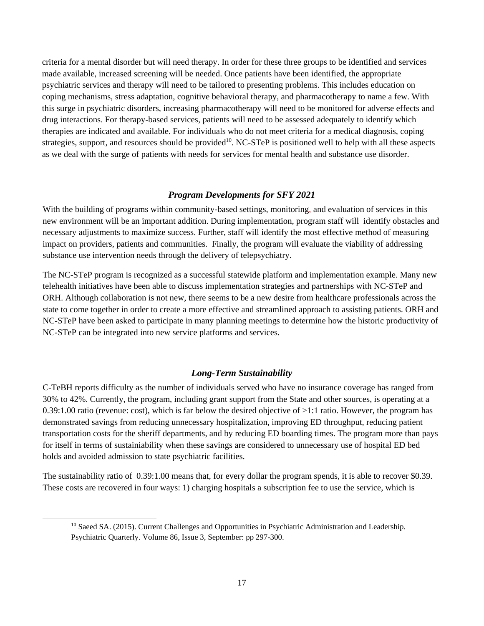criteria for a mental disorder but will need therapy. In order for these three groups to be identified and services made available, increased screening will be needed. Once patients have been identified, the appropriate psychiatric services and therapy will need to be tailored to presenting problems. This includes education on coping mechanisms, stress adaptation, cognitive behavioral therapy, and pharmacotherapy to name a few. With this surge in psychiatric disorders, increasing pharmacotherapy will need to be monitored for adverse effects and drug interactions. For therapy-based services, patients will need to be assessed adequately to identify which therapies are indicated and available. For individuals who do not meet criteria for a medical diagnosis, coping strategies, support, and resources should be provided<sup>10</sup>. NC-STeP is positioned well to help with all these aspects as we deal with the surge of patients with needs for services for mental health and substance use disorder.

#### *Program Developments for SFY 2021*

With the building of programs within community-based settings, monitoring, and evaluation of services in this new environment will be an important addition. During implementation, program staff will identify obstacles and necessary adjustments to maximize success. Further, staff will identify the most effective method of measuring impact on providers, patients and communities. Finally, the program will evaluate the viability of addressing substance use intervention needs through the delivery of telepsychiatry.

The NC-STeP program is recognized as a successful statewide platform and implementation example. Many new telehealth initiatives have been able to discuss implementation strategies and partnerships with NC-STeP and ORH. Although collaboration is not new, there seems to be a new desire from healthcare professionals across the state to come together in order to create a more effective and streamlined approach to assisting patients. ORH and NC-STeP have been asked to participate in many planning meetings to determine how the historic productivity of NC-STeP can be integrated into new service platforms and services.

#### *Long-Term Sustainability*

C-TeBH reports difficulty as the number of individuals served who have no insurance coverage has ranged from 30% to 42%. Currently, the program, including grant support from the State and other sources, is operating at a 0.39:1.00 ratio (revenue: cost), which is far below the desired objective of >1:1 ratio. However, the program has demonstrated savings from reducing unnecessary hospitalization, improving ED throughput, reducing patient transportation costs for the sheriff departments, and by reducing ED boarding times. The program more than pays for itself in terms of sustainiability when these savings are considered to unnecessary use of hospital ED bed holds and avoided admission to state psychiatric facilities.

The sustainability ratio of 0.39:1.00 means that, for every dollar the program spends, it is able to recover \$0.39. These costs are recovered in four ways: 1) charging hospitals a subscription fee to use the service, which is

<sup>&</sup>lt;sup>10</sup> Saeed SA. (2015). Current Challenges and Opportunities in Psychiatric Administration and Leadership. Psychiatric Quarterly. Volume 86, Issue 3, September: pp 297-300.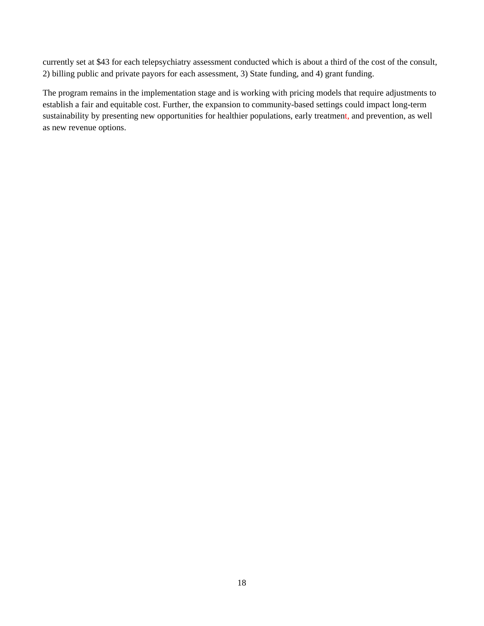currently set at \$43 for each telepsychiatry assessment conducted which is about a third of the cost of the consult, 2) billing public and private payors for each assessment, 3) State funding, and 4) grant funding.

The program remains in the implementation stage and is working with pricing models that require adjustments to establish a fair and equitable cost. Further, the expansion to community-based settings could impact long-term sustainability by presenting new opportunities for healthier populations, early treatment, and prevention, as well as new revenue options.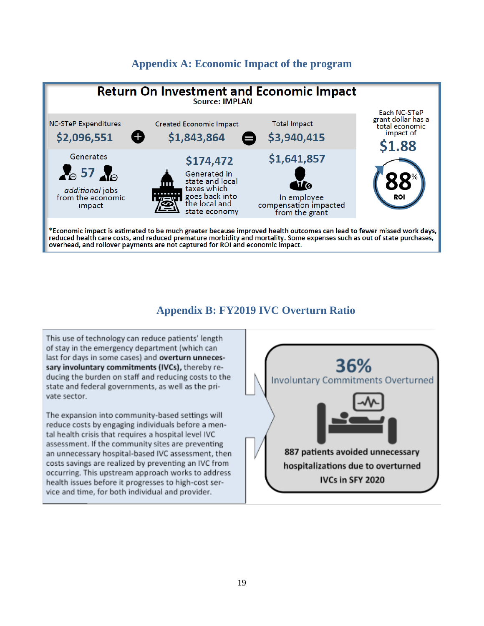#### **Appendix A: Economic Impact of the program**



#### **Appendix B: FY2019 IVC Overturn Ratio**

This use of technology can reduce patients' length of stay in the emergency department (which can last for days in some cases) and overturn unnecessary involuntary commitments (IVCs), thereby reducing the burden on staff and reducing costs to the state and federal governments, as well as the private sector.

The expansion into community-based settings will reduce costs by engaging individuals before a mental health crisis that requires a hospital level IVC assessment. If the community sites are preventing an unnecessary hospital-based IVC assessment, then costs savings are realized by preventing an IVC from occurring. This upstream approach works to address health issues before it progresses to high-cost service and time, for both individual and provider.

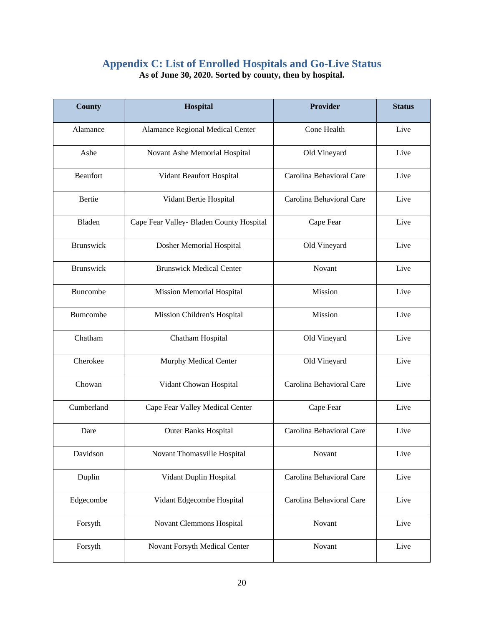#### **Appendix C: List of Enrolled Hospitals and Go-Live Status As of June 30, 2020. Sorted by county, then by hospital.**

| <b>County</b>   | Hospital                                 | <b>Provider</b>                  | <b>Status</b> |
|-----------------|------------------------------------------|----------------------------------|---------------|
| Alamance        | Alamance Regional Medical Center         | Cone Health                      | Live          |
| Ashe            | Novant Ashe Memorial Hospital            | Old Vineyard<br>Live             |               |
| Beaufort        | Vidant Beaufort Hospital                 | Carolina Behavioral Care         | Live          |
| <b>Bertie</b>   | Vidant Bertie Hospital                   | Carolina Behavioral Care         | Live          |
| Bladen          | Cape Fear Valley- Bladen County Hospital | Cape Fear                        | Live          |
| Brunswick       | Dosher Memorial Hospital                 | Old Vineyard                     | Live          |
| Brunswick       | <b>Brunswick Medical Center</b>          | Novant                           | Live          |
| <b>Buncombe</b> | <b>Mission Memorial Hospital</b>         | Mission<br>Live                  |               |
| Bumcombe        | Mission Children's Hospital              | Mission<br>Live                  |               |
| Chatham         | Chatham Hospital                         | Live<br>Old Vineyard             |               |
| Cherokee        | Murphy Medical Center                    | Live<br>Old Vineyard             |               |
| Chowan          | Vidant Chowan Hospital                   | Carolina Behavioral Care<br>Live |               |
| Cumberland      | Cape Fear Valley Medical Center          | Cape Fear                        | Live          |
| Dare            | <b>Outer Banks Hospital</b>              | Carolina Behavioral Care         | Live          |
| Davidson        | Novant Thomasville Hospital              | Novant                           | Live          |
| Duplin          | Vidant Duplin Hospital                   | Carolina Behavioral Care         | Live          |
| Edgecombe       | Vidant Edgecombe Hospital                | Carolina Behavioral Care         | Live          |
| Forsyth         | Novant Clemmons Hospital                 | Novant                           | Live          |
| Forsyth         | Novant Forsyth Medical Center            | Novant                           | Live          |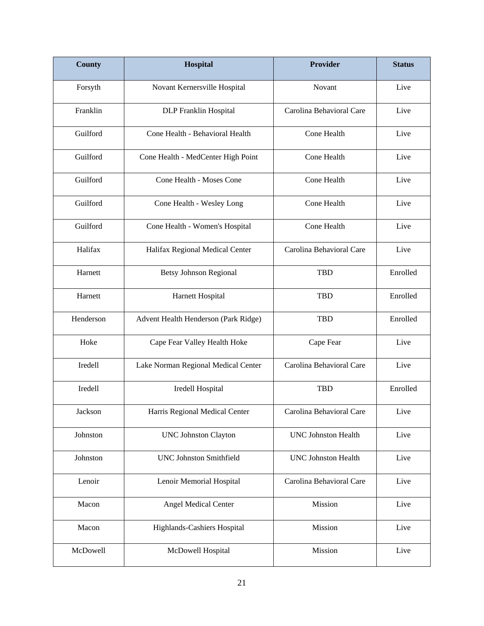| <b>County</b> | Hospital                             | Provider                           | <b>Status</b> |
|---------------|--------------------------------------|------------------------------------|---------------|
| Forsyth       | Novant Kernersville Hospital         | Novant                             | Live          |
| Franklin      | DLP Franklin Hospital                | Carolina Behavioral Care<br>Live   |               |
| Guilford      | Cone Health - Behavioral Health      | Cone Health                        | Live          |
| Guilford      | Cone Health - MedCenter High Point   | Cone Health                        | Live          |
| Guilford      | Cone Health - Moses Cone             | Cone Health                        | Live          |
| Guilford      | Cone Health - Wesley Long            | Cone Health                        | Live          |
| Guilford      | Cone Health - Women's Hospital       | Cone Health                        | Live          |
| Halifax       | Halifax Regional Medical Center      | Carolina Behavioral Care           | Live          |
| Harnett       | <b>Betsy Johnson Regional</b>        | Enrolled<br><b>TBD</b>             |               |
| Harnett       | Harnett Hospital                     | <b>TBD</b><br>Enrolled             |               |
| Henderson     | Advent Health Henderson (Park Ridge) | <b>TBD</b><br>Enrolled             |               |
| Hoke          | Cape Fear Valley Health Hoke         | Cape Fear<br>Live                  |               |
| Iredell       | Lake Norman Regional Medical Center  | Carolina Behavioral Care<br>Live   |               |
| Iredell       | Iredell Hospital                     | <b>TBD</b>                         | Enrolled      |
| Jackson       | Harris Regional Medical Center       | Carolina Behavioral Care           | Live          |
| Johnston      | <b>UNC Johnston Clayton</b>          | <b>UNC Johnston Health</b><br>Live |               |
| Johnston      | <b>UNC Johnston Smithfield</b>       | Live<br><b>UNC Johnston Health</b> |               |
| Lenoir        | Lenoir Memorial Hospital             | Carolina Behavioral Care<br>Live   |               |
| Macon         | <b>Angel Medical Center</b>          | Mission                            | Live          |
| Macon         | Highlands-Cashiers Hospital          | Mission<br>Live                    |               |
| McDowell      | McDowell Hospital                    | Mission                            | Live          |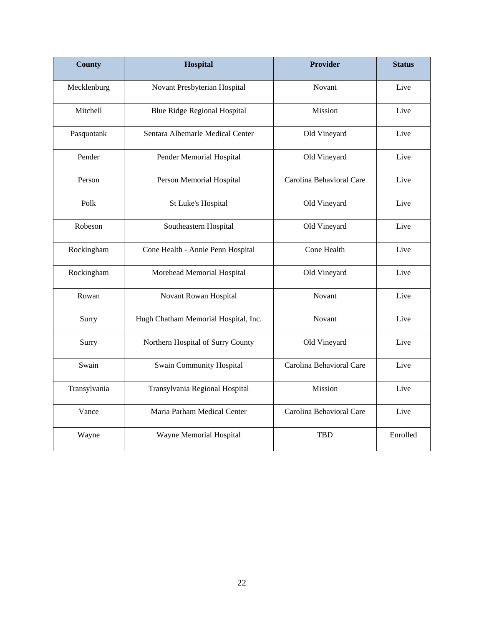| <b>County</b> | Hospital                             | <b>Provider</b>                  | <b>Status</b> |
|---------------|--------------------------------------|----------------------------------|---------------|
| Mecklenburg   | Novant Presbyterian Hospital         | Novant                           | Live          |
| Mitchell      | <b>Blue Ridge Regional Hospital</b>  | Mission<br>Live                  |               |
| Pasquotank    | Sentara Albemarle Medical Center     | Old Vineyard                     | Live          |
| Pender        | Pender Memorial Hospital             | Old Vineyard                     | Live          |
| Person        | Person Memorial Hospital             | Carolina Behavioral Care         | Live          |
| Polk          | St Luke's Hospital                   | Old Vineyard                     | Live          |
| Robeson       | Southeastern Hospital                | Old Vineyard                     | Live          |
| Rockingham    | Cone Health - Annie Penn Hospital    | Cone Health<br>Live              |               |
| Rockingham    | Morehead Memorial Hospital           | Live<br>Old Vineyard             |               |
| Rowan         | Novant Rowan Hospital                | Novant<br>Live                   |               |
| Surry         | Hugh Chatham Memorial Hospital, Inc. | Live<br>Novant                   |               |
| Surry         | Northern Hospital of Surry County    | Old Vineyard                     | Live          |
| Swain         | <b>Swain Community Hospital</b>      | Carolina Behavioral Care<br>Live |               |
| Transylvania  | Transylvania Regional Hospital       | Mission                          | Live          |
| Vance         | Maria Parham Medical Center          | Carolina Behavioral Care         | Live          |
| Wayne         | Wayne Memorial Hospital              | <b>TBD</b>                       | Enrolled      |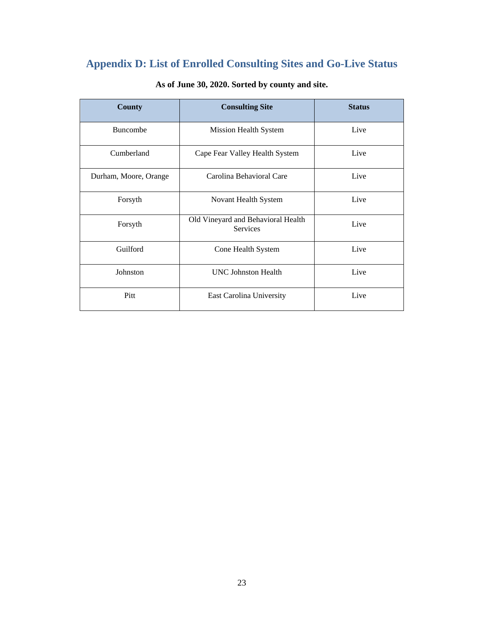# **Appendix D: List of Enrolled Consulting Sites and Go-Live Status**

| <b>County</b>         | <b>Consulting Site</b>                                | <b>Status</b> |
|-----------------------|-------------------------------------------------------|---------------|
| <b>Buncombe</b>       | Mission Health System                                 | Live          |
| Cumberland            | Cape Fear Valley Health System                        | Live          |
| Durham, Moore, Orange | Carolina Behavioral Care                              | Live          |
| Forsyth               | Novant Health System                                  | Live          |
| Forsyth               | Old Vineyard and Behavioral Health<br><b>Services</b> | Live          |
| Guilford              | Cone Health System                                    | Live          |
| Johnston              | <b>UNC Johnston Health</b>                            | Live          |
| Pitt                  | East Carolina University                              | Live          |

#### **As of June 30, 2020. Sorted by county and site.**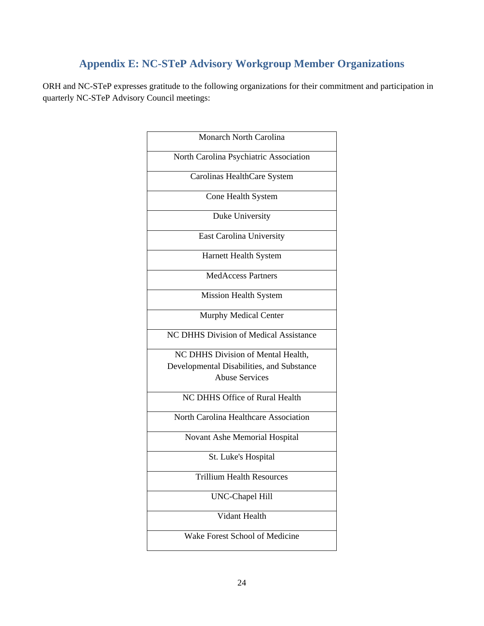### **Appendix E: NC-STeP Advisory Workgroup Member Organizations**

ORH and NC-STeP expresses gratitude to the following organizations for their commitment and participation in quarterly NC-STeP Advisory Council meetings:

| Monarch North Carolina                    |
|-------------------------------------------|
| North Carolina Psychiatric Association    |
| Carolinas HealthCare System               |
| Cone Health System                        |
| Duke University                           |
| <b>East Carolina University</b>           |
| Harnett Health System                     |
| <b>MedAccess Partners</b>                 |
| Mission Health System                     |
| Murphy Medical Center                     |
| NC DHHS Division of Medical Assistance    |
| NC DHHS Division of Mental Health,        |
| Developmental Disabilities, and Substance |
| <b>Abuse Services</b>                     |
| <b>NC DHHS Office of Rural Health</b>     |
| North Carolina Healthcare Association     |
| Novant Ashe Memorial Hospital             |
| St. Luke's Hospital                       |
| <b>Trillium Health Resources</b>          |
| <b>UNC-Chapel Hill</b>                    |
| Vidant Health                             |
| Wake Forest School of Medicine            |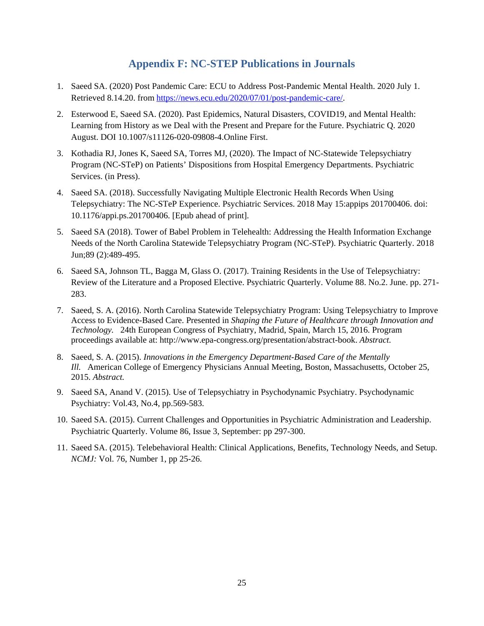#### **Appendix F: NC-STEP Publications in Journals**

- 1. Saeed SA. (2020) Post Pandemic Care: ECU to Address Post-Pandemic Mental Health. 2020 July 1. Retrieved 8.14.20. from https://news.ecu.edu/2020/07/01/post-pandemic-care/.
- 2. Esterwood E, Saeed SA. (2020). Past Epidemics, Natural Disasters, COVID19, and Mental Health: Learning from History as we Deal with the Present and Prepare for the Future. Psychiatric Q. 2020 August. DOI 10.1007/s11126-020-09808-4.Online First.
- 3. Kothadia RJ, Jones K, Saeed SA, Torres MJ, (2020). The Impact of NC-Statewide Telepsychiatry Program (NC-STeP) on Patients' Dispositions from Hospital Emergency Departments. Psychiatric Services. (in Press).
- 4. Saeed SA. (2018). Successfully Navigating Multiple Electronic Health Records When Using Telepsychiatry: The NC-STeP Experience. Psychiatric Services. 2018 May 15:appips 201700406. doi: 10.1176/appi.ps.201700406. [Epub ahead of print].
- 5. Saeed SA (2018). Tower of Babel Problem in Telehealth: Addressing the Health Information Exchange Needs of the North Carolina Statewide Telepsychiatry Program (NC-STeP). Psychiatric Quarterly. 2018 Jun;89 (2):489-495.
- 6. Saeed SA, Johnson TL, Bagga M, Glass O. (2017). Training Residents in the Use of Telepsychiatry: Review of the Literature and a Proposed Elective. Psychiatric Quarterly. Volume 88. No.2. June. pp. 271- 283.
- 7. Saeed, S. A. (2016). North Carolina Statewide Telepsychiatry Program: Using Telepsychiatry to Improve Access to Evidence-Based Care. Presented in *Shaping the Future of Healthcare through Innovation and Technology.* 24th European Congress of Psychiatry, Madrid, Spain, March 15, 2016. Program proceedings available at: http://www.epa-congress.org/presentation/abstract-book. *Abstract.*
- 8. Saeed, S. A. (2015). *Innovations in the Emergency Department-Based Care of the Mentally Ill.* American College of Emergency Physicians Annual Meeting, Boston, Massachusetts, October 25, 2015. *Abstract.*
- 9. Saeed SA, Anand V. (2015). Use of Telepsychiatry in Psychodynamic Psychiatry. Psychodynamic Psychiatry: Vol.43, No.4, pp.569-583.
- 10. Saeed SA. (2015). Current Challenges and Opportunities in Psychiatric Administration and Leadership. Psychiatric Quarterly. Volume 86, Issue 3, September: pp 297-300.
- 11. Saeed SA. (2015). Telebehavioral Health: Clinical Applications, Benefits, Technology Needs, and Setup. *NCMJ:* Vol. 76, Number 1, pp 25-26.